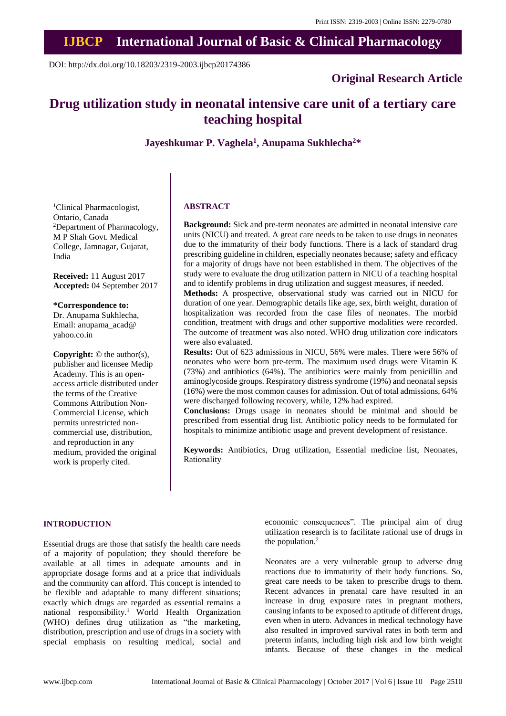# **IJBCP International Journal of Basic & Clinical Pharmacology**

DOI: http://dx.doi.org/10.18203/2319-2003.ijbcp20174386

# **Original Research Article**

# **Drug utilization study in neonatal intensive care unit of a tertiary care teaching hospital**

**Jayeshkumar P. Vaghela<sup>1</sup> , Anupama Sukhlecha<sup>2</sup>\***

<sup>1</sup>Clinical Pharmacologist, Ontario, Canada <sup>2</sup>Department of Pharmacology, M P Shah Govt. Medical College, Jamnagar, Gujarat, India

**Received:** 11 August 2017 **Accepted:** 04 September 2017

**\*Correspondence to:** Dr. Anupama Sukhlecha, Email: anupama\_acad@ yahoo.co.in

**Copyright:** © the author(s), publisher and licensee Medip Academy. This is an openaccess article distributed under the terms of the Creative Commons Attribution Non-Commercial License, which permits unrestricted noncommercial use, distribution, and reproduction in any medium, provided the original work is properly cited.

#### **ABSTRACT**

**Background:** Sick and pre-term neonates are admitted in neonatal intensive care units (NICU) and treated. A great care needs to be taken to use drugs in neonates due to the immaturity of their body functions. There is a lack of standard drug prescribing guideline in children, especially neonates because; safety and efficacy for a majority of drugs have not been established in them. The objectives of the study were to evaluate the drug utilization pattern in NICU of a teaching hospital and to identify problems in drug utilization and suggest measures, if needed.

**Methods:** A prospective, observational study was carried out in NICU for duration of one year. Demographic details like age, sex, birth weight, duration of hospitalization was recorded from the case files of neonates. The morbid condition, treatment with drugs and other supportive modalities were recorded. The outcome of treatment was also noted. WHO drug utilization core indicators were also evaluated.

**Results:** Out of 623 admissions in NICU, 56% were males. There were 56% of neonates who were born pre-term. The maximum used drugs were Vitamin K (73%) and antibiotics (64%). The antibiotics were mainly from penicillin and aminoglycoside groups. Respiratory distress syndrome (19%) and neonatal sepsis (16%) were the most common causes for admission. Out of total admissions, 64% were discharged following recovery, while, 12% had expired.

**Conclusions:** Drugs usage in neonates should be minimal and should be prescribed from essential drug list. Antibiotic policy needs to be formulated for hospitals to minimize antibiotic usage and prevent development of resistance.

**Keywords:** Antibiotics, Drug utilization, Essential medicine list, Neonates, Rationality

#### **INTRODUCTION**

Essential drugs are those that satisfy the health care needs of a majority of population; they should therefore be available at all times in adequate amounts and in appropriate dosage forms and at a price that individuals and the community can afford. This concept is intended to be flexible and adaptable to many different situations; exactly which drugs are regarded as essential remains a national responsibility.<sup>1</sup> World Health Organization (WHO) defines drug utilization as "the marketing, distribution, prescription and use of drugs in a society with special emphasis on resulting medical, social and economic consequences". The principal aim of drug utilization research is to facilitate rational use of drugs in the population.<sup>2</sup>

Neonates are a very vulnerable group to adverse drug reactions due to immaturity of their body functions. So, great care needs to be taken to prescribe drugs to them. Recent advances in prenatal care have resulted in an increase in drug exposure rates in pregnant mothers, causing infants to be exposed to aptitude of different drugs, even when in utero. Advances in medical technology have also resulted in improved survival rates in both term and preterm infants, including high risk and low birth weight infants. Because of these changes in the medical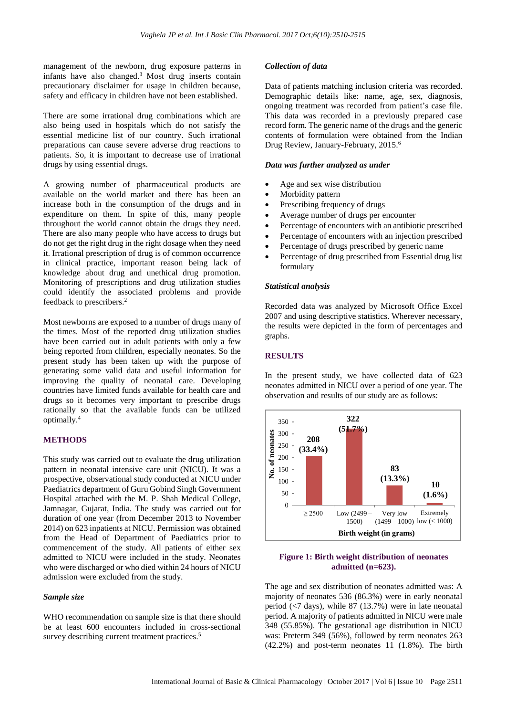management of the newborn, drug exposure patterns in infants have also changed.<sup>3</sup> Most drug inserts contain precautionary disclaimer for usage in children because, safety and efficacy in children have not been established.

There are some irrational drug combinations which are also being used in hospitals which do not satisfy the essential medicine list of our country. Such irrational preparations can cause severe adverse drug reactions to patients. So, it is important to decrease use of irrational drugs by using essential drugs.

A growing number of pharmaceutical products are available on the world market and there has been an increase both in the consumption of the drugs and in expenditure on them. In spite of this, many people throughout the world cannot obtain the drugs they need. There are also many people who have access to drugs but do not get the right drug in the right dosage when they need it. Irrational prescription of drug is of common occurrence in clinical practice, important reason being lack of knowledge about drug and unethical drug promotion. Monitoring of prescriptions and drug utilization studies could identify the associated problems and provide feedback to prescribers.<sup>2</sup>

Most newborns are exposed to a number of drugs many of the times. Most of the reported drug utilization studies have been carried out in adult patients with only a few being reported from children, especially neonates. So the present study has been taken up with the purpose of generating some valid data and useful information for improving the quality of neonatal care. Developing countries have limited funds available for health care and drugs so it becomes very important to prescribe drugs rationally so that the available funds can be utilized optimally.<sup>4</sup>

#### **METHODS**

This study was carried out to evaluate the drug utilization pattern in neonatal intensive care unit (NICU). It was a prospective, observational study conducted at NICU under Paediatrics department of Guru Gobind Singh Government Hospital attached with the M. P. Shah Medical College, Jamnagar, Gujarat, India. The study was carried out for duration of one year (from December 2013 to November 2014) on 623 inpatients at NICU. Permission was obtained from the Head of Department of Paediatrics prior to commencement of the study. All patients of either sex admitted to NICU were included in the study. Neonates who were discharged or who died within 24 hours of NICU admission were excluded from the study.

#### *Sample size*

WHO recommendation on sample size is that there should be at least 600 encounters included in cross-sectional survey describing current treatment practices.<sup>5</sup>

#### *Collection of data*

Data of patients matching inclusion criteria was recorded. Demographic details like: name, age, sex, diagnosis, ongoing treatment was recorded from patient's case file. This data was recorded in a previously prepared case record form. The generic name of the drugs and the generic contents of formulation were obtained from the Indian Drug Review, January-February, 2015.<sup>6</sup>

#### *Data was further analyzed as under*

- Age and sex wise distribution
- Morbidity pattern
- Prescribing frequency of drugs
- Average number of drugs per encounter
- Percentage of encounters with an antibiotic prescribed
- Percentage of encounters with an injection prescribed
- Percentage of drugs prescribed by generic name
- Percentage of drug prescribed from Essential drug list formulary

#### *Statistical analysis*

Recorded data was analyzed by Microsoft Office Excel 2007 and using descriptive statistics. Wherever necessary, the results were depicted in the form of percentages and graphs.

#### **RESULTS**

In the present study, we have collected data of 623 neonates admitted in NICU over a period of one year. The observation and results of our study are as follows:



#### **Figure 1: Birth weight distribution of neonates admitted (n=623).**

The age and sex distribution of neonates admitted was: A majority of neonates 536 (86.3%) were in early neonatal period (<7 days), while 87 (13.7%) were in late neonatal period. A majority of patients admitted in NICU were male 348 (55.85%). The gestational age distribution in NICU was: Preterm 349 (56%), followed by term neonates 263 (42.2%) and post-term neonates 11 (1.8%). The birth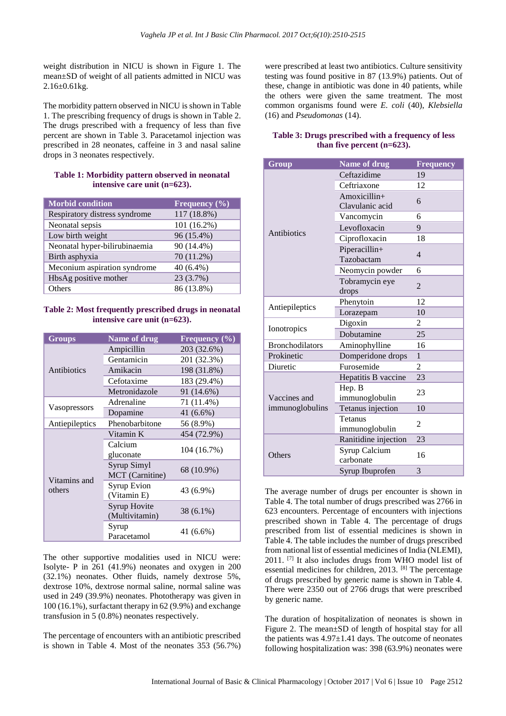weight distribution in NICU is shown in Figure 1. The mean±SD of weight of all patients admitted in NICU was  $2.16 \pm 0.61$  kg.

The morbidity pattern observed in NICU is shown in Table 1. The prescribing frequency of drugs is shown in Table 2. The drugs prescribed with a frequency of less than five percent are shown in Table 3. Paracetamol injection was prescribed in 28 neonates, caffeine in 3 and nasal saline drops in 3 neonates respectively.

#### **Table 1: Morbidity pattern observed in neonatal intensive care unit (n=623).**

| <b>Morbid condition</b>       | Frequency $(\% )$ |
|-------------------------------|-------------------|
| Respiratory distress syndrome | 117 (18.8%)       |
| Neonatal sepsis               | 101 (16.2%)       |
| Low birth weight              | 96 (15.4%)        |
| Neonatal hyper-bilirubinaemia | 90 (14.4%)        |
| Birth asphyxia                | 70 (11.2%)        |
| Meconium aspiration syndrome  | $40(6.4\%)$       |
| HbsAg positive mother         | 23 (3.7%)         |
| Others                        | 86 (13.8%)        |

#### **Table 2: Most frequently prescribed drugs in neonatal intensive care unit (n=623).**

| <b>Groups</b>          | <b>Name of drug</b>               | Frequency $(\% )$ |
|------------------------|-----------------------------------|-------------------|
| Antibiotics            | Ampicillin                        | 203 (32.6%)       |
|                        | Gentamicin                        | 201 (32.3%)       |
|                        | Amikacin                          | 198 (31.8%)       |
|                        | Cefotaxime                        | 183 (29.4%)       |
|                        | Metronidazole                     | 91 (14.6%)        |
| Vasopressors           | Adrenaline                        | 71 (11.4%)        |
|                        | Dopamine                          | 41 (6.6%)         |
| Antiepileptics         | Phenobarbitone                    | 56 (8.9%)         |
| Vitamins and<br>others | Vitamin K                         | 454 (72.9%)       |
|                        | Calcium<br>gluconate              | 104 (16.7%)       |
|                        | Syrup Simyl<br>MCT (Carnitine)    | 68 (10.9%)        |
|                        | <b>Syrup Evion</b><br>(Vitamin E) | 43 (6.9%)         |
|                        | Syrup Hovite<br>(Multivitamin)    | 38 (6.1%)         |
|                        | Syrup<br>Paracetamol              | 41 (6.6%)         |

The other supportive modalities used in NICU were: Isolyte- P in 261 (41.9%) neonates and oxygen in 200 (32.1%) neonates. Other fluids, namely dextrose 5%, dextrose 10%, dextrose normal saline, normal saline was used in 249 (39.9%) neonates. Phototherapy was given in 100 (16.1%), surfactant therapy in 62 (9.9%) and exchange transfusion in 5 (0.8%) neonates respectively.

The percentage of encounters with an antibiotic prescribed is shown in Table 4. Most of the neonates 353 (56.7%) were prescribed at least two antibiotics. Culture sensitivity testing was found positive in 87 (13.9%) patients. Out of these, change in antibiotic was done in 40 patients, while the others were given the same treatment. The most common organisms found were *E. coli* (40), *Klebsiella* (16) and *Pseudomonas* (14).

### **Table 3: Drugs prescribed with a frequency of less than five percent (n=623).**

| Group                           | <b>Name of drug</b>               | <b>Frequency</b> |
|---------------------------------|-----------------------------------|------------------|
| Antibiotics                     | Ceftazidime                       | 19               |
|                                 | Ceftriaxone                       | 12               |
|                                 | $Amoxicillin+$<br>Clavulanic acid | 6                |
|                                 | Vancomycin                        | 6                |
|                                 | Levofloxacin                      | 9                |
|                                 | Ciprofloxacin                     | 18               |
|                                 | Piperacillin+<br>Tazobactam       | $\overline{4}$   |
|                                 | Neomycin powder                   | 6                |
|                                 | Tobramycin eye<br>drops           | $\mathfrak{D}$   |
|                                 | Phenytoin                         | 12               |
| Antiepileptics                  | Lorazepam                         | 10               |
| Ionotropics                     | Digoxin                           | 2                |
|                                 | Dobutamine                        | 25               |
| <b>Bronchodilators</b>          | Aminophylline                     | 16               |
| Prokinetic                      | Domperidone drops                 | $\mathbf{1}$     |
| Diuretic                        | Furosemide                        | 2                |
| Vaccines and<br>immunoglobulins | Hepatitis B vaccine               | 23               |
|                                 | Hep. B<br>immunoglobulin          | 23               |
|                                 | Tetanus injection                 | 10               |
|                                 | Tetanus<br>immunoglobulin         | $\overline{c}$   |
| Others                          | Ranitidine injection              | 23               |
|                                 | Syrup Calcium<br>carbonate        | 16               |
|                                 | Syrup Ibuprofen                   | 3                |

The average number of drugs per encounter is shown in Table 4. The total number of drugs prescribed was 2766 in 623 encounters. Percentage of encounters with injections prescribed shown in Table 4. The percentage of drugs prescribed from list of essential medicines is shown in Table 4. The table includes the number of drugs prescribed from national list of essential medicines of India (NLEMI), 2011. [7] It also includes drugs from WHO model list of essential medicines for children, 2013. [8] The percentage of drugs prescribed by generic name is shown in Table 4. There were 2350 out of 2766 drugs that were prescribed by generic name.

The duration of hospitalization of neonates is shown in Figure 2. The mean±SD of length of hospital stay for all the patients was  $4.97 \pm 1.41$  days. The outcome of neonates following hospitalization was: 398 (63.9%) neonates were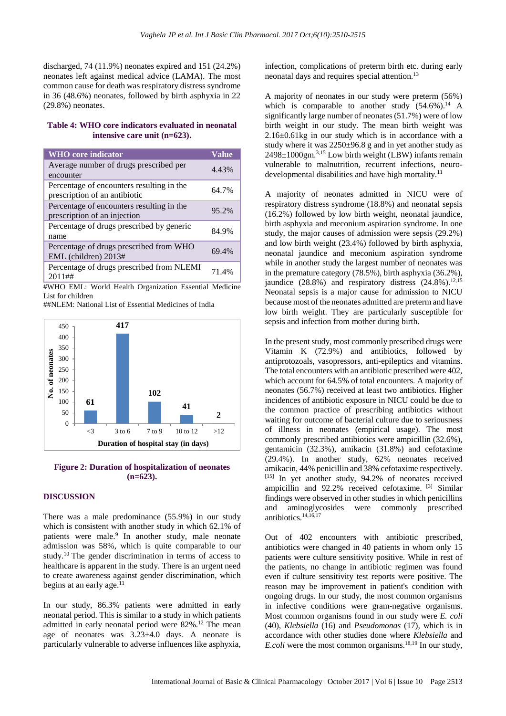discharged, 74 (11.9%) neonates expired and 151 (24.2%) neonates left against medical advice (LAMA). The most common cause for death was respiratory distress syndrome in 36 (48.6%) neonates, followed by birth asphyxia in 22 (29.8%) neonates.

#### **Table 4: WHO core indicators evaluated in neonatal intensive care unit (n=623).**

| <b>WHO</b> core indicator                                                  | <b>Value</b> |
|----------------------------------------------------------------------------|--------------|
| Average number of drugs prescribed per<br>encounter                        | 4.43%        |
| Percentage of encounters resulting in the<br>prescription of an antibiotic | 64.7%        |
| Percentage of encounters resulting in the<br>prescription of an injection  | 95.2%        |
| Percentage of drugs prescribed by generic<br>name                          | 84.9%        |
| Percentage of drugs prescribed from WHO<br>EML (children) 2013#            | 69.4%        |
| Percentage of drugs prescribed from NLEMI<br>$2011#$ ##                    | 71.4%        |

#WHO EML: World Health Organization Essential Medicine List for children

##NLEM: National List of Essential Medicines of India



#### **Figure 2: Duration of hospitalization of neonates (n=623).**

#### **DISCUSSION**

There was a male predominance (55.9%) in our study which is consistent with another study in which 62.1% of patients were male.<sup>9</sup> In another study, male neonate admission was 58%, which is quite comparable to our study.<sup>10</sup> The gender discrimination in terms of access to healthcare is apparent in the study. There is an urgent need to create awareness against gender discrimination, which begins at an early age. $^{11}$ 

In our study, 86.3% patients were admitted in early neonatal period. This is similar to a study in which patients admitted in early neonatal period were 82%.<sup>12</sup> The mean age of neonates was  $3.23 \pm 4.0$  days. A neonate is particularly vulnerable to adverse influences like asphyxia,

infection, complications of preterm birth etc. during early neonatal days and requires special attention.<sup>13</sup>

A majority of neonates in our study were preterm (56%) which is comparable to another study  $(54.6\%)$ .<sup>14</sup> A significantly large number of neonates (51.7%) were of low birth weight in our study. The mean birth weight was 2.16±0.61kg in our study which is in accordance with a study where it was 2250±96.8 g and in yet another study as  $2498 \pm 1000$ gm.<sup>3,15</sup> Low birth weight (LBW) infants remain vulnerable to malnutrition, recurrent infections, neurodevelopmental disabilities and have high mortality.<sup>11</sup>

A majority of neonates admitted in NICU were of respiratory distress syndrome (18.8%) and neonatal sepsis (16.2%) followed by low birth weight, neonatal jaundice, birth asphyxia and meconium aspiration syndrome. In one study, the major causes of admission were sepsis (29.2%) and low birth weight (23.4%) followed by birth asphyxia, neonatal jaundice and meconium aspiration syndrome while in another study the largest number of neonates was in the premature category (78.5%), birth asphyxia (36.2%), jaundice  $(28.8\%)$  and respiratory distress  $(24.8\%)$ .<sup>12,15</sup> Neonatal sepsis is a major cause for admission to NICU because most of the neonates admitted are preterm and have low birth weight. They are particularly susceptible for sepsis and infection from mother during birth.

In the present study, most commonly prescribed drugs were Vitamin K (72.9%) and antibiotics, followed by antiprotozoals, vasopressors, anti-epileptics and vitamins. The total encounters with an antibiotic prescribed were 402, which account for 64.5% of total encounters. A majority of neonates (56.7%) received at least two antibiotics. Higher incidences of antibiotic exposure in NICU could be due to the common practice of prescribing antibiotics without waiting for outcome of bacterial culture due to seriousness of illness in neonates (empirical usage). The most commonly prescribed antibiotics were ampicillin (32.6%), gentamicin (32.3%), amikacin (31.8%) and cefotaxime (29.4%). In another study, 62% neonates received amikacin, 44% penicillin and 38% cefotaxime respectively. [15] In yet another study, 94.2% of neonates received ampicillin and 92.2% received cefotaxime. [3] Similar findings were observed in other studies in which penicillins and aminoglycosides were commonly prescribed antibiotics.14,16,17

Out of 402 encounters with antibiotic prescribed, antibiotics were changed in 40 patients in whom only 15 patients were culture sensitivity positive. While in rest of the patients, no change in antibiotic regimen was found even if culture sensitivity test reports were positive. The reason may be improvement in patient's condition with ongoing drugs. In our study, the most common organisms in infective conditions were gram-negative organisms. Most common organisms found in our study were *E. coli* (40), *Klebsiella* (16) and *Pseudomonas* (17), which is in accordance with other studies done where *Klebsiella* and *E.coli* were the most common organisms.<sup>18,19</sup> In our study,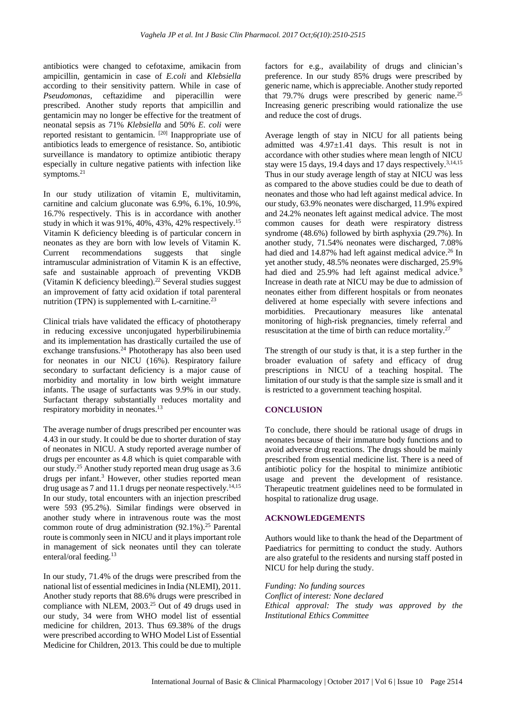antibiotics were changed to cefotaxime, amikacin from ampicillin, gentamicin in case of *E.coli* and *Klebsiella* according to their sensitivity pattern. While in case of *Pseudomonas*, ceftazidime and piperacillin were prescribed. Another study reports that ampicillin and gentamicin may no longer be effective for the treatment of neonatal sepsis as 71% *Klebsiella* and 50% *E. coli* were reported resistant to gentamicin. [20] Inappropriate use of antibiotics leads to emergence of resistance. So, antibiotic surveillance is mandatory to optimize antibiotic therapy especially in culture negative patients with infection like symptoms. $21$ 

In our study utilization of vitamin E, multivitamin, carnitine and calcium gluconate was 6.9%, 6.1%, 10.9%, 16.7% respectively. This is in accordance with another study in which it was 91%, 40%, 43%, 42% respectively.<sup>15</sup> Vitamin K deficiency bleeding is of particular concern in neonates as they are born with low levels of Vitamin K. Current recommendations suggests that single intramuscular administration of Vitamin K is an effective, safe and sustainable approach of preventing VKDB (Vitamin K deficiency bleeding).<sup>22</sup> Several studies suggest an improvement of fatty acid oxidation if total parenteral nutrition (TPN) is supplemented with L-carnitine. $^{23}$ 

Clinical trials have validated the efficacy of phototherapy in reducing excessive unconjugated hyperbilirubinemia and its implementation has drastically curtailed the use of exchange transfusions.<sup>24</sup> Phototherapy has also been used for neonates in our NICU (16%). Respiratory failure secondary to surfactant deficiency is a major cause of morbidity and mortality in low birth weight immature infants. The usage of surfactants was 9.9% in our study. Surfactant therapy substantially reduces mortality and respiratory morbidity in neonates.<sup>13</sup>

The average number of drugs prescribed per encounter was 4.43 in our study. It could be due to shorter duration of stay of neonates in NICU. A study reported average number of drugs per encounter as 4.8 which is quiet comparable with our study.<sup>25</sup> Another study reported mean drug usage as 3.6 drugs per infant.<sup>3</sup> However, other studies reported mean drug usage as 7 and 11.1 drugs per neonate respectively.<sup>14,15</sup> In our study, total encounters with an injection prescribed were 593 (95.2%). Similar findings were observed in another study where in intravenous route was the most common route of drug administration  $(92.1\%)$ <sup>25</sup> Parental route is commonly seen in NICU and it plays important role in management of sick neonates until they can tolerate enteral/oral feeding.<sup>13</sup>

In our study, 71.4% of the drugs were prescribed from the national list of essential medicines in India (NLEMI), 2011. Another study reports that 88.6% drugs were prescribed in compliance with NLEM, 2003.<sup>25</sup> Out of 49 drugs used in our study, 34 were from WHO model list of essential medicine for children, 2013. Thus 69.38% of the drugs were prescribed according to WHO Model List of Essential Medicine for Children, 2013. This could be due to multiple factors for e.g., availability of drugs and clinician's preference. In our study 85% drugs were prescribed by generic name, which is appreciable. Another study reported that 79.7% drugs were prescribed by generic name.<sup>25</sup> Increasing generic prescribing would rationalize the use and reduce the cost of drugs.

Average length of stay in NICU for all patients being admitted was 4.97±1.41 days. This result is not in accordance with other studies where mean length of NICU stay were 15 days, 19.4 days and 17 days respectively.<sup>3,14,15</sup> Thus in our study average length of stay at NICU was less as compared to the above studies could be due to death of neonates and those who had left against medical advice. In our study, 63.9% neonates were discharged, 11.9% expired and 24.2% neonates left against medical advice. The most common causes for death were respiratory distress syndrome (48.6%) followed by birth asphyxia (29.7%). In another study, 71.54% neonates were discharged, 7.08% had died and 14.87% had left against medical advice.<sup>26</sup> In yet another study, 48.5% neonates were discharged, 25.9% had died and 25.9% had left against medical advice.<sup>9</sup> Increase in death rate at NICU may be due to admission of neonates either from different hospitals or from neonates delivered at home especially with severe infections and morbidities. Precautionary measures like antenatal monitoring of high-risk pregnancies, timely referral and resuscitation at the time of birth can reduce mortality.<sup>27</sup>

The strength of our study is that, it is a step further in the broader evaluation of safety and efficacy of drug prescriptions in NICU of a teaching hospital. The limitation of our study is that the sample size is small and it is restricted to a government teaching hospital.

## **CONCLUSION**

To conclude, there should be rational usage of drugs in neonates because of their immature body functions and to avoid adverse drug reactions. The drugs should be mainly prescribed from essential medicine list. There is a need of antibiotic policy for the hospital to minimize antibiotic usage and prevent the development of resistance. Therapeutic treatment guidelines need to be formulated in hospital to rationalize drug usage.

### **ACKNOWLEDGEMENTS**

Authors would like to thank the head of the Department of Paediatrics for permitting to conduct the study. Authors are also grateful to the residents and nursing staff posted in NICU for help during the study.

*Funding: No funding sources Conflict of interest: None declared Ethical approval: The study was approved by the Institutional Ethics Committee*